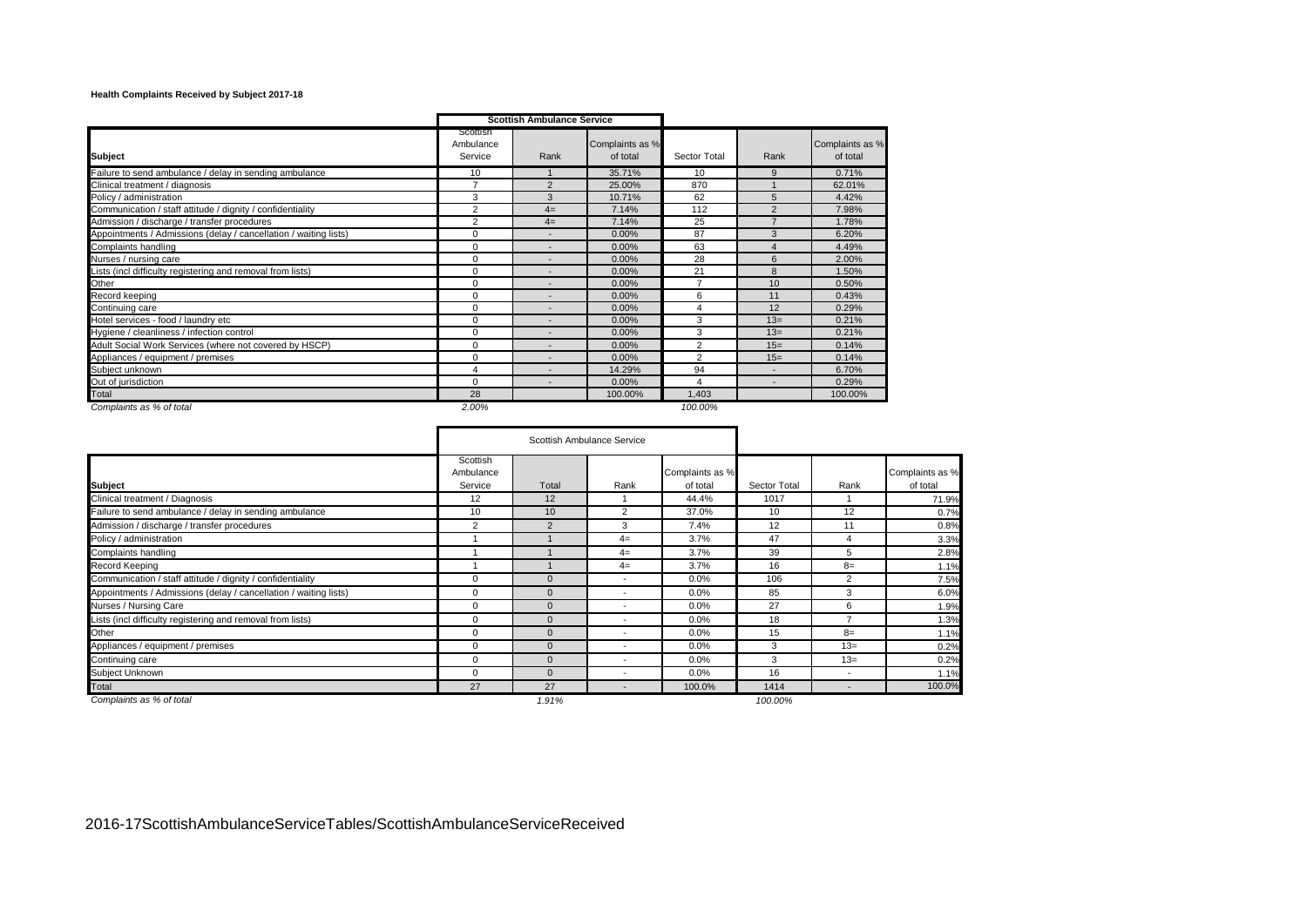## **Health Complaints Received by Subject 2017-18**

|                                                                  |                                  | <b>Scottish Ambulance Service</b> |                             |                |                          |                             |
|------------------------------------------------------------------|----------------------------------|-----------------------------------|-----------------------------|----------------|--------------------------|-----------------------------|
| <b>Subject</b>                                                   | Scottish<br>Ambulance<br>Service | Rank                              | Complaints as %<br>of total | Sector Total   | Rank                     | Complaints as %<br>of total |
| Failure to send ambulance / delay in sending ambulance           | 10                               |                                   | 35.71%                      | 10             | 9                        | 0.71%                       |
| Clinical treatment / diagnosis                                   | $\overline{7}$                   | $\overline{2}$                    | 25.00%                      | 870            |                          | 62.01%                      |
| Policy / administration                                          | 3                                | 3                                 | 10.71%                      | 62             | 5                        | 4.42%                       |
| Communication / staff attitude / dignity / confidentiality       | $\overline{2}$                   | $4=$                              | 7.14%                       | 112            | $\mathfrak{p}$           | 7.98%                       |
| Admission / discharge / transfer procedures                      | $\overline{2}$                   | $4=$                              | 7.14%                       | 25             | $\overline{ }$           | 1.78%                       |
| Appointments / Admissions (delay / cancellation / waiting lists) | $\Omega$                         |                                   | 0.00%                       | 87             | 3                        | 6.20%                       |
| Complaints handling                                              | $\Omega$                         |                                   | 0.00%                       | 63             | $\overline{4}$           | 4.49%                       |
| Nurses / nursing care                                            | $\Omega$                         |                                   | 0.00%                       | 28             | 6                        | 2.00%                       |
| Lists (incl difficulty registering and removal from lists)       | $\mathbf 0$                      | $\overline{\phantom{a}}$          | 0.00%                       | 21             | 8                        | 1.50%                       |
| Other                                                            | 0                                |                                   | 0.00%                       | 7              | 10                       | 0.50%                       |
| Record keeping                                                   | 0                                |                                   | 0.00%                       | 6              | 11                       | 0.43%                       |
| Continuing care                                                  | 0                                |                                   | 0.00%                       | 4              | 12                       | 0.29%                       |
| Hotel services - food / laundry etc                              | $\Omega$                         |                                   | 0.00%                       | 3              | $13=$                    | 0.21%                       |
| Hygiene / cleanliness / infection control                        | $\mathbf 0$                      |                                   | 0.00%                       | 3              | $13=$                    | 0.21%                       |
| Adult Social Work Services (where not covered by HSCP)           | 0                                |                                   | 0.00%                       | $\overline{2}$ | $15=$                    | 0.14%                       |
| Appliances / equipment / premises                                | 0                                |                                   | 0.00%                       | $\overline{2}$ | $15=$                    | 0.14%                       |
| Subject unknown                                                  | $\overline{4}$                   |                                   | 14.29%                      | 94             | $\overline{\phantom{a}}$ | 6.70%                       |
| Out of jurisdiction                                              | $\Omega$                         |                                   | 0.00%                       | $\overline{4}$ | $\overline{\phantom{a}}$ | 0.29%                       |
| Total                                                            | 28                               |                                   | 100.00%                     | 1,403          |                          | 100.00%                     |
| Complaints as % of total                                         | 2.00%                            |                                   |                             | 100.00%        |                          |                             |

|                                                                  |                                  | Scottish Ambulance Service |                          |                             |              |                          |                             |
|------------------------------------------------------------------|----------------------------------|----------------------------|--------------------------|-----------------------------|--------------|--------------------------|-----------------------------|
| <b>Subject</b>                                                   | Scottish<br>Ambulance<br>Service | Total                      | Rank                     | Complaints as %<br>of total | Sector Total | Rank                     | Complaints as %<br>of total |
| Clinical treatment / Diagnosis                                   | 12                               | 12                         |                          | 44.4%                       | 1017         |                          | 71.9%                       |
| Failure to send ambulance / delay in sending ambulance           | 10                               | 10                         | $\overline{2}$           | 37.0%                       | 10           | 12                       | 0.7%                        |
| Admission / discharge / transfer procedures                      | $\overline{2}$                   | 2                          | 3                        | 7.4%                        | 12           | 11                       | 0.8%                        |
| Policy / administration                                          |                                  |                            | $4=$                     | 3.7%                        | 47           | $\boldsymbol{\Delta}$    | 3.3%                        |
| Complaints handling                                              |                                  |                            | $4=$                     | 3.7%                        | 39           | 5                        | 2.8%                        |
| <b>Record Keeping</b>                                            |                                  |                            | $4=$                     | 3.7%                        | 16           | $8=$                     | 1.1%                        |
| Communication / staff attitude / dignity / confidentiality       | $\Omega$                         |                            |                          | 0.0%                        | 106          | $\overline{2}$           | 7.5%                        |
| Appointments / Admissions (delay / cancellation / waiting lists) | $\Omega$                         |                            | $\overline{\phantom{a}}$ | 0.0%                        | 85           | 3                        | 6.0%                        |
| Nurses / Nursing Care                                            | $\mathbf 0$                      | $\mathbf{0}$               |                          | 0.0%                        | 27           | 6                        | 1.9%                        |
| Lists (incl difficulty registering and removal from lists)       | 0                                | $\Omega$                   | $\overline{\phantom{a}}$ | $0.0\%$                     | 18           | ⇁                        | 1.3%                        |
| Other                                                            |                                  | $\Omega$                   |                          | 0.0%                        | 15           | $8=$                     | 1.1%                        |
| Appliances / equipment / premises                                | $\mathbf 0$                      | $\Omega$                   |                          | 0.0%                        | 3            | $13=$                    | 0.2%                        |
| Continuing care                                                  | $\Omega$                         | $\Omega$                   | $\overline{\phantom{a}}$ | 0.0%                        | 3            | $13=$                    | 0.2%                        |
| Subject Unknown                                                  | $\Omega$                         | $\Omega$                   |                          | 0.0%                        | 16           | $\overline{\phantom{a}}$ | 1.1%                        |
| Total                                                            | 27                               | 27                         | $\overline{\phantom{a}}$ | 100.0%                      | 1414         | $\overline{\phantom{a}}$ | 100.0%                      |
| Complaints as % of total                                         |                                  | 1.91%                      |                          |                             | 100.00%      |                          |                             |